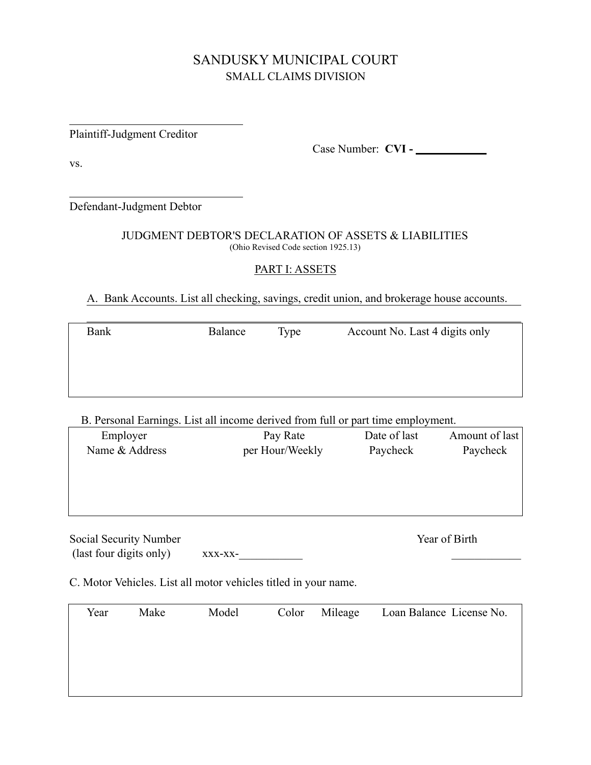# SANDUSKY MUNICIPAL COURT SMALL CLAIMS DIVISION

Plaintiff-Judgment Creditor

Case Number: **CVI -** 

vs.

 $\overline{a}$ 

 $\overline{a}$ 

Defendant-Judgment Debtor

#### JUDGMENT DEBTOR'S DECLARATION OF ASSETS & LIABILITIES (Ohio Revised Code section 1925.13)

### PART I: ASSETS

## A. Bank Accounts. List all checking, savings, credit union, and brokerage house accounts.

| Bank | Balance | Type | Account No. Last 4 digits only |
|------|---------|------|--------------------------------|
|      |         |      |                                |
|      |         |      |                                |
|      |         |      |                                |
|      |         |      |                                |

#### B. Personal Earnings. List all income derived from full or part time employment.

| D. I croonal Barnings. Bise an income acritica from fair of pare employment. |                 |              |                |
|------------------------------------------------------------------------------|-----------------|--------------|----------------|
| Employer                                                                     | Pay Rate        | Date of last | Amount of last |
| Name & Address                                                               | per Hour/Weekly | Paycheck     | Paycheck       |
|                                                                              |                 |              |                |
|                                                                              |                 |              |                |
|                                                                              |                 |              |                |
|                                                                              |                 |              |                |
| Social Security Number                                                       |                 |              | Year of Birth  |
|                                                                              |                 |              |                |

 $\text{(last four digits only)} \quad xxx-xx-$ 

C. Motor Vehicles. List all motor vehicles titled in your name.

| Year | Make | Model | Color Mileage | Loan Balance License No. |
|------|------|-------|---------------|--------------------------|
|      |      |       |               |                          |
|      |      |       |               |                          |
|      |      |       |               |                          |
|      |      |       |               |                          |
|      |      |       |               |                          |